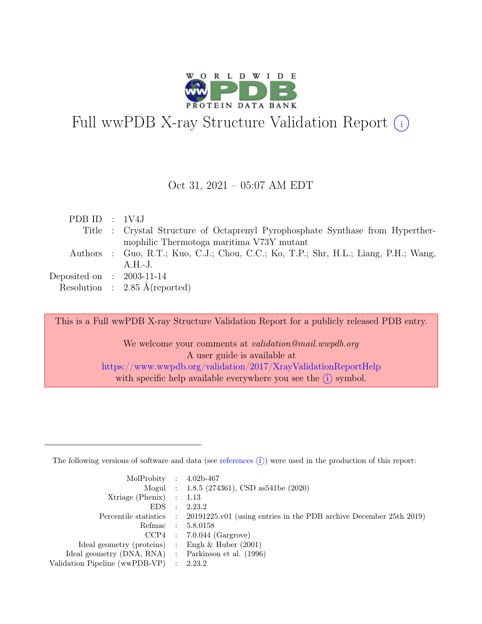

# Full wwPDB X-ray Structure Validation Report  $\bigcirc$

#### Oct 31, 2021 – 05:07 AM EDT

| PDBID : 1V4J                |                                                                                     |
|-----------------------------|-------------------------------------------------------------------------------------|
|                             | Title : Crystal Structure of Octaprenyl Pyrophosphate Synthase from Hyperther-      |
|                             | mophilic Thermotoga maritima V73Y mutant                                            |
|                             | Authors : Guo, R.T.; Kuo, C.J.; Chou, C.C.; Ko, T.P.; Shr, H.L.; Liang, P.H.; Wang, |
|                             | $A.H.-J.$                                                                           |
| Deposited on : $2003-11-14$ |                                                                                     |
|                             | Resolution : $2.85 \text{ Å}$ (reported)                                            |
|                             |                                                                                     |

This is a Full wwPDB X-ray Structure Validation Report for a publicly released PDB entry.

We welcome your comments at validation@mail.wwpdb.org A user guide is available at <https://www.wwpdb.org/validation/2017/XrayValidationReportHelp> with specific help available everywhere you see the  $(i)$  symbol.

The following versions of software and data (see [references](https://www.wwpdb.org/validation/2017/XrayValidationReportHelp#references)  $(i)$ ) were used in the production of this report:

| MolProbity : $4.02b-467$                            |                                                                                            |
|-----------------------------------------------------|--------------------------------------------------------------------------------------------|
|                                                     | Mogul : 1.8.5 (274361), CSD as 541be (2020)                                                |
| $Xtriangle (Phenix)$ : 1.13                         |                                                                                            |
| $EDS$ :                                             | 2.23.2                                                                                     |
|                                                     | Percentile statistics : 20191225.v01 (using entries in the PDB archive December 25th 2019) |
| Refmac : 5.8.0158                                   |                                                                                            |
|                                                     | $CCP4$ : 7.0.044 (Gargrove)                                                                |
| Ideal geometry (proteins) : Engh $\&$ Huber (2001)  |                                                                                            |
| Ideal geometry (DNA, RNA) : Parkinson et al. (1996) |                                                                                            |
| Validation Pipeline (wwPDB-VP) : 2.23.2             |                                                                                            |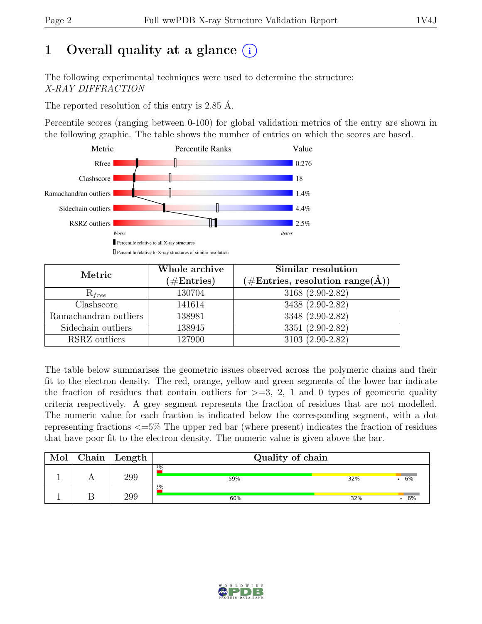# 1 Overall quality at a glance  $(i)$

The following experimental techniques were used to determine the structure: X-RAY DIFFRACTION

The reported resolution of this entry is 2.85 Å.

Percentile scores (ranging between 0-100) for global validation metrics of the entry are shown in the following graphic. The table shows the number of entries on which the scores are based.



| Metric                | Whole archive<br>$(\#\text{Entries})$ | Similar resolution<br>$(\# \text{Entries}, \text{ resolution } \text{range}(\AA))$ |  |  |
|-----------------------|---------------------------------------|------------------------------------------------------------------------------------|--|--|
| $R_{free}$            | 130704                                | 3168 (2.90-2.82)                                                                   |  |  |
| Clashscore            | 141614                                | 3438 (2.90-2.82)                                                                   |  |  |
| Ramachandran outliers | 138981                                | 3348 (2.90-2.82)                                                                   |  |  |
| Sidechain outliers    | 138945                                | 3351 (2.90-2.82)                                                                   |  |  |
| RSRZ outliers         | 127900                                | 3103 (2.90-2.82)                                                                   |  |  |

The table below summarises the geometric issues observed across the polymeric chains and their fit to the electron density. The red, orange, yellow and green segments of the lower bar indicate the fraction of residues that contain outliers for  $\geq$ =3, 2, 1 and 0 types of geometric quality criteria respectively. A grey segment represents the fraction of residues that are not modelled. The numeric value for each fraction is indicated below the corresponding segment, with a dot representing fractions <=5% The upper red bar (where present) indicates the fraction of residues that have poor fit to the electron density. The numeric value is given above the bar.

| Mol | ${\rm Chain}$ | Length | Quality of chain |     |    |  |  |  |
|-----|---------------|--------|------------------|-----|----|--|--|--|
|     |               | 299    | 2%<br>59%        | 32% | 6% |  |  |  |
|     |               | 299    | 2%<br>60%        | 32% | 6% |  |  |  |

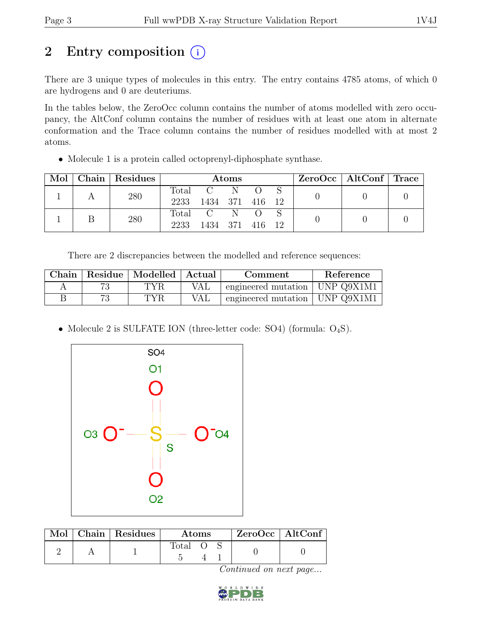# 2 Entry composition  $(i)$

There are 3 unique types of molecules in this entry. The entry contains 4785 atoms, of which 0 are hydrogens and 0 are deuteriums.

In the tables below, the ZeroOcc column contains the number of atoms modelled with zero occupancy, the AltConf column contains the number of residues with at least one atom in alternate conformation and the Trace column contains the number of residues modelled with at most 2 atoms.

• Molecule 1 is a protein called octoprenyl-diphosphate synthase.

| $\text{Mol}$ | Chain   Residues | Atoms         |                            |  |  | ZeroOcc   AltConf   Trace |  |  |
|--------------|------------------|---------------|----------------------------|--|--|---------------------------|--|--|
|              | 280              | Total<br>2233 | $C \tN$<br>1434 371 416 12 |  |  |                           |  |  |
|              | 280              | Total<br>2233 | $C \tN$<br>1434 371 416 12 |  |  |                           |  |  |

There are 2 discrepancies between the modelled and reference sequences:

| Chain |    | Residue   Modelled   Actual |     | Comment                          | Reference |
|-------|----|-----------------------------|-----|----------------------------------|-----------|
|       | 79 | TYR                         | VAL | engineered mutation   UNP Q9X1M1 |           |
|       |    | TYR.                        | VAL | engineered mutation   UNP Q9X1M1 |           |

• Molecule 2 is SULFATE ION (three-letter code: SO4) (formula:  $O_4S$ ).



|  | Mol   Chain   Residues | Atoms          |  |  | $ZeroOcc$   AltConf |  |
|--|------------------------|----------------|--|--|---------------------|--|
|  |                        | $\text{Total}$ |  |  |                     |  |

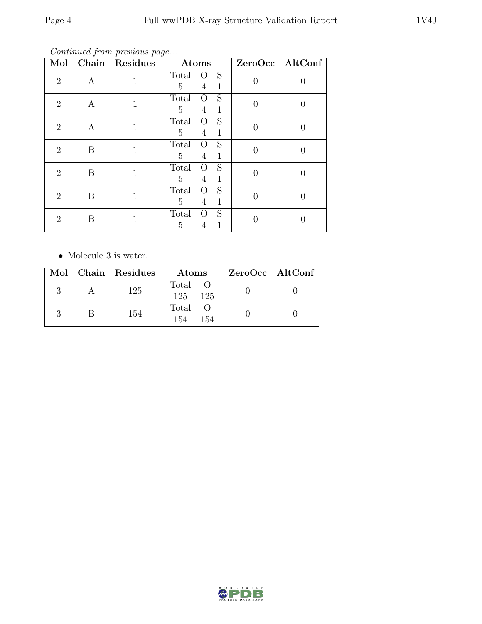Continued from previous page...

| Mol                         | $\overline{\text{Chain}}$ | Residues     | Atoms                                                                      |          | ZeroOcc   AltConf |
|-----------------------------|---------------------------|--------------|----------------------------------------------------------------------------|----------|-------------------|
| $\overline{2}$              | A                         | 1            | S<br>Total<br>$\circ$<br>5<br>$\overline{4}$<br>1                          |          |                   |
| $\overline{2}$              | A                         | $\mathbf{1}$ | S<br>Total<br>$\Omega$<br>5<br>4<br>1                                      | 0        |                   |
| $\overline{2}$              | A                         | $\mathbf{1}$ | S<br>Total<br>$\Omega$<br>$\overline{5}$<br>$\mathbf{1}$<br>$\overline{4}$ | $\Omega$ |                   |
| $\overline{2}$              | B                         | $\mathbf{1}$ | S<br>Total<br>O<br>$\overline{5}$<br>$\mathbf 1$<br>4                      | $\Omega$ |                   |
| $\overline{2}$              | B                         | 1            | S<br>Total<br>O<br>5<br>$\mathbf{1}$<br>4                                  | 0        |                   |
| $\mathcal{D}_{\mathcal{L}}$ | B                         | 1            | S<br>Total<br>$\Omega$<br>5<br>$\mathbf 1$<br>4                            | 0        |                   |
| 2                           | B                         |              | S<br>Total<br>$\Omega$<br>5<br>1<br>4                                      |          |                   |

 $\bullet\,$  Molecule 3 is water.

|  | Mol   Chain   Residues | Atoms               | ZeroOcc   AltConf |
|--|------------------------|---------------------|-------------------|
|  | 125                    | Total<br>125<br>125 |                   |
|  | 154                    | Total<br>154<br>154 |                   |

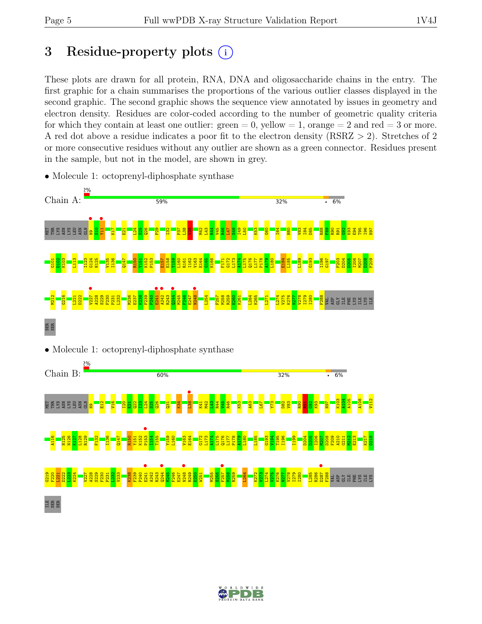## 3 Residue-property plots  $(i)$

These plots are drawn for all protein, RNA, DNA and oligosaccharide chains in the entry. The first graphic for a chain summarises the proportions of the various outlier classes displayed in the second graphic. The second graphic shows the sequence view annotated by issues in geometry and electron density. Residues are color-coded according to the number of geometric quality criteria for which they contain at least one outlier:  $green = 0$ , yellow  $= 1$ , orange  $= 2$  and red  $= 3$  or more. A red dot above a residue indicates a poor fit to the electron density (RSRZ > 2). Stretches of 2 or more consecutive residues without any outlier are shown as a green connector. Residues present in the sample, but not in the model, are shown in grey.



• Molecule 1: octoprenyl-diphosphate synthase





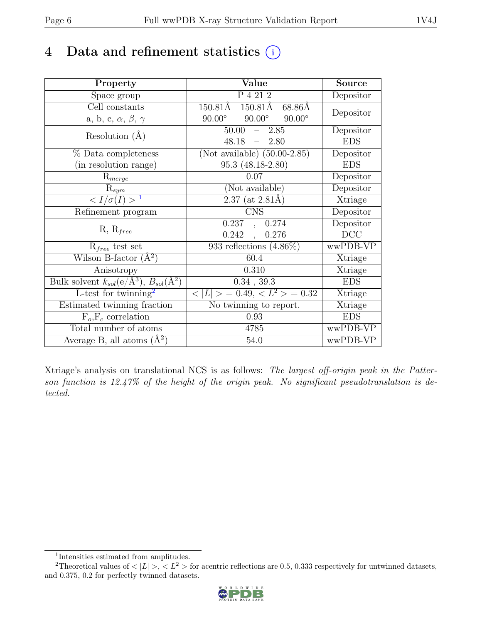# 4 Data and refinement statistics  $(i)$

| Property                                                         | Value                                           | <b>Source</b> |
|------------------------------------------------------------------|-------------------------------------------------|---------------|
| Space group                                                      | P 4 21 2                                        | Depositor     |
| Cell constants                                                   | 150.81Å<br>150.81Å<br>68.86Å                    |               |
| a, b, c, $\alpha$ , $\beta$ , $\gamma$                           | $90.00^\circ$<br>$90.00^\circ$<br>$90.00^\circ$ | Depositor     |
| Resolution $(A)$                                                 | 50.00<br>$-2.85$                                | Depositor     |
|                                                                  | 48.18<br>2.80<br>$\frac{1}{2}$                  | <b>EDS</b>    |
| % Data completeness                                              | (Not available) $(50.00-2.85)$                  | Depositor     |
| (in resolution range)                                            | 95.3 (48.18-2.80)                               | <b>EDS</b>    |
| $R_{merge}$                                                      | 0.07                                            | Depositor     |
| $\mathrm{R}_{sym}$                                               | (Not available)                                 | Depositor     |
| $\langle I/\sigma(I) \rangle^{-1}$                               | $2.37$ (at $2.81\text{\AA}$ )                   | Xtriage       |
| Refinement program                                               | <b>CNS</b>                                      | Depositor     |
|                                                                  | 0.237<br>0.274<br>$\overline{\phantom{a}}$      | Depositor     |
| $R, R_{free}$                                                    | 0.242<br>0.276<br>$\mathcal{L}_{\mathcal{A}}$   | DCC           |
| $R_{free}$ test set                                              | $933$ reflections $(4.86\%)$                    | wwPDB-VP      |
| Wilson B-factor $(A^2)$                                          | 60.4                                            | Xtriage       |
| Anisotropy                                                       | 0.310                                           | Xtriage       |
| Bulk solvent $k_{sol}(\text{e}/\text{A}^3), B_{sol}(\text{A}^2)$ | $0.34$ , 39.3                                   | <b>EDS</b>    |
| L-test for twinning <sup>2</sup>                                 | $< L >$ = 0.49, $< L^2 >$ = 0.32                | Xtriage       |
| Estimated twinning fraction                                      | $\overline{\text{No}}$ twinning to report.      | Xtriage       |
| $F_o, F_c$ correlation                                           | 0.93                                            | <b>EDS</b>    |
| Total number of atoms                                            | 4785                                            | wwPDB-VP      |
| Average B, all atoms $(A^2)$                                     | 54.0                                            | wwPDB-VP      |

Xtriage's analysis on translational NCS is as follows: The largest off-origin peak in the Patterson function is 12.47% of the height of the origin peak. No significant pseudotranslation is detected.

<sup>&</sup>lt;sup>2</sup>Theoretical values of  $\langle |L| \rangle$ ,  $\langle L^2 \rangle$  for acentric reflections are 0.5, 0.333 respectively for untwinned datasets, and 0.375, 0.2 for perfectly twinned datasets.



<span id="page-5-1"></span><span id="page-5-0"></span><sup>1</sup> Intensities estimated from amplitudes.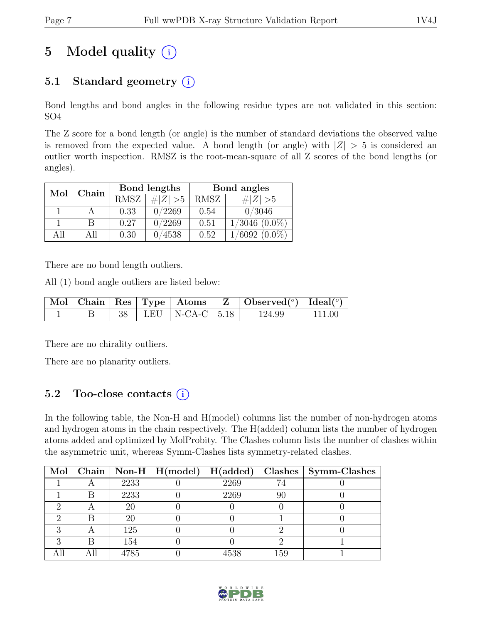# 5 Model quality  $(i)$

## 5.1 Standard geometry  $(i)$

Bond lengths and bond angles in the following residue types are not validated in this section: SO4

The Z score for a bond length (or angle) is the number of standard deviations the observed value is removed from the expected value. A bond length (or angle) with  $|Z| > 5$  is considered an outlier worth inspection. RMSZ is the root-mean-square of all Z scores of the bond lengths (or angles).

| Mol  | Chain |             | Bond lengths | Bond angles |                    |  |
|------|-------|-------------|--------------|-------------|--------------------|--|
|      |       | <b>RMSZ</b> | $\# Z  > 5$  | RMSZ        | Z   > 5            |  |
|      |       | 0.33        | 0/2269       | 0.54        | 0/3046             |  |
|      | В     | 0.27        | 0/2269       | 0.51        | $1/3046$ $(0.0\%)$ |  |
| A 11 | All   | 0.30        | 0/4538       | 0.52        | $(6092,(0.0\%)$    |  |

There are no bond length outliers.

All (1) bond angle outliers are listed below:

|  |  |                          | $\mid$ Mol $\mid$ Chain $\mid$ Res $\mid$ Type $\mid$ Atoms $\mid$ Z $\mid$ Observed( <sup>o</sup> ) $\mid$ Ideal( <sup>o</sup> ) |        |
|--|--|--------------------------|-----------------------------------------------------------------------------------------------------------------------------------|--------|
|  |  | 38   LEU   N-CA-C   5.18 | 124.99                                                                                                                            | 111.00 |

There are no chirality outliers.

There are no planarity outliers.

## 5.2 Too-close contacts  $(i)$

In the following table, the Non-H and H(model) columns list the number of non-hydrogen atoms and hydrogen atoms in the chain respectively. The H(added) column lists the number of hydrogen atoms added and optimized by MolProbity. The Clashes column lists the number of clashes within the asymmetric unit, whereas Symm-Clashes lists symmetry-related clashes.

| Mol |   |      | Chain   Non-H   $H (model)$ | H(added) |     | Clashes   Symm-Clashes |
|-----|---|------|-----------------------------|----------|-----|------------------------|
|     |   | 2233 |                             | 2269     | 74  |                        |
|     |   | 2233 |                             | 2269     | 90  |                        |
|     |   | 20   |                             |          |     |                        |
|     | R | 20   |                             |          |     |                        |
|     |   | 125  |                             |          |     |                        |
|     | R | 154  |                             |          |     |                        |
|     |   | 4785 |                             | 4538     | 159 |                        |

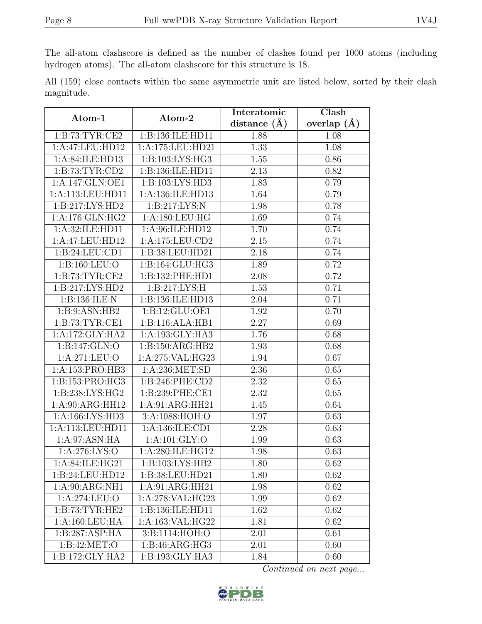The all-atom clashscore is defined as the number of clashes found per 1000 atoms (including hydrogen atoms). The all-atom clashscore for this structure is 18.

|            |  |  | All (159) close contacts within the same asymmetric unit are listed below, sorted by their clash |  |  |  |  |
|------------|--|--|--------------------------------------------------------------------------------------------------|--|--|--|--|
| magnitude. |  |  |                                                                                                  |  |  |  |  |

| Atom-1                    | Atom-2              | Interatomic    | Clash         |  |
|---------------------------|---------------------|----------------|---------------|--|
|                           |                     | distance $(A)$ | overlap $(A)$ |  |
| 1: B: 73: TYR: CE2        | 1:B:136:ILE:HD11    | 1.88           | 1.08          |  |
| 1:A:47:LEU:HD12           | 1:A:175:LEU:HD21    | 1.33           | 1.08          |  |
| 1:A:84:ILE:HD13           | 1:B:103:LYS:HG3     | 1.55           | 0.86          |  |
| 1:B:73:TYR:CD2            | 1:B:136:ILE:HD11    | 2.13           | 0.82          |  |
| 1:A:147:GLN:OE1           | 1:B:103:LYS:HD3     | 1.83           | 0.79          |  |
| 1:A:113:LEU:HD11          | 1:A:136:ILE:HD13    | 1.64           | 0.79          |  |
| 1:B:217:LYS:HD2           | 1:B:217:LYS:N       | 1.98           | 0.78          |  |
| 1:A:176:GLN:HG2           | 1:A:180:LEU:HG      | 1.69           | 0.74          |  |
| 1:A:32:ILE:HD11           | 1:A:96:ILE:HD12     | 1.70           | 0.74          |  |
| 1:A:47:LEU:HD12           | 1:A:175:LEU:CD2     | 2.15           | 0.74          |  |
| 1:B:24:LEU:CD1            | 1:B:38:LEU:HD21     | 2.18           | 0.74          |  |
| 1:B:160:LEU:O             | 1:B:164:GLU:HG3     | 1.89           | 0.72          |  |
| 1:B:73:TYR:CE2            | 1:B:132:PHE:HD1     | 2.08           | 0.72          |  |
| 1:B:217:LYS:HD2           | 1:B:217:LYS:H       | 1.53           | 0.71          |  |
| 1:B:136:ILE:N             | 1:B:136:ILE:HD13    | 2.04           | 0.71          |  |
| 1:B:9:ASN:HB2             | 1: B: 12: GLU: OE1  | 1.92           | 0.70          |  |
| 1:B:73:TYR:CE1            | 1:B:116:ALA:HB1     | 2.27           | 0.69          |  |
| 1:A:172:GLY:HA2           | 1: A: 193: GLY: HA3 | 1.76           | 0.68          |  |
| 1:B:147:GLN:O             | 1:B:150:ARG:HB2     | 1.93           | 0.68          |  |
| 1:A:271:LEU:O             | 1:A:275:VAL:HG23    | 1.94           | 0.67          |  |
| 1:A:153:PRO:HB3           | 1:A:236:MET:SD      | 2.36           | 0.65          |  |
| 1:B:153:PRO:HG3           | 1: B:246: PHE:CD2   | 2.32           | 0.65          |  |
| 1:B:238:LYS:HG2           | 1:B:239:PHE:CE1     | 2.32           | 0.65          |  |
| 1:A:90:ARG:HH12           | 1:A:91:ARG:HH21     | 1.45           | 0.64          |  |
| 1:A:166:LYS:HD3           | 3:A:1088:HOH:O      | 1.97           | 0.63          |  |
| 1:A:113:LEU:HD11          | 1: A: 136: ILE: CD1 | 2.28           | 0.63          |  |
| 1:A:97:ASN:HA             | 1:A:101:GLY:O       | 1.99           | 0.63          |  |
| 1:A:276:LYS:O             | 1: A:280: ILE: HG12 | 1.98           | 0.63          |  |
| 1: A:84: ILE:HG21         | 1: B: 103: LYS: HB2 | 1.80           | 0.62          |  |
| 1:B:24:LEU:HD12           | 1:B:38:LEU:HD21     | 1.80           | 0.62          |  |
| 1:A:90:ARG:NH1            | 1:A:91:ARG:HH21     | 1.98           | 0.62          |  |
| 1:A:274:LEU:O             | 1:A:278:VAL:HG23    | 1.99           | 0.62          |  |
| 1:B:73:TYR:HE2            | 1:B:136:ILE:HD11    | 1.62           | 0.62          |  |
| 1:A:160:LEU:HA            | 1:A:163:VAL:HG22    | 1.81           | 0.62          |  |
| 1:B:287:ASP:HA            | 3:B:1114:HOH:O      | 2.01           | 0.61          |  |
| $1:B:\overline{42:MET:O}$ | 1:B:46:ARG:HG3      | 2.01           | 0.60          |  |
| 1:B:172:GLY:HA2           | 1:B:193:GLY:HA3     | 1.84           | 0.60          |  |

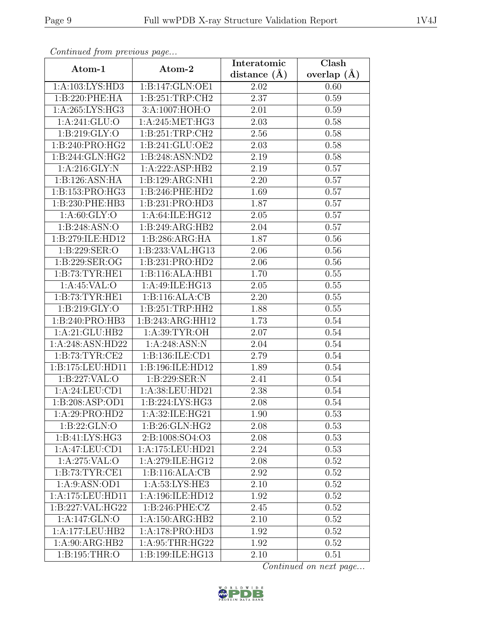| Continuea from previous page |                    | Interatomic       | Clash           |  |  |
|------------------------------|--------------------|-------------------|-----------------|--|--|
| Atom-1                       | Atom-2             | distance $(\AA)$  | overlap $(\AA)$ |  |  |
| 1:A:103:LYS:HD3              | 1:B:147:GLN:OE1    | 2.02              | 0.60            |  |  |
| 1:B:220:PHE:HA               | 1:B:251:TRP:CH2    | $\overline{2.37}$ | 0.59            |  |  |
| 1:A:265:LYS:HG3              | 3:A:1007:HOH:O     | 2.01              | 0.59            |  |  |
| 1:A:241:GLU:O                | 1:A:245:MET:HG3    | 2.03              | 0.58            |  |  |
| 1:B:219:GLY:O                | 1: B:251:TRP:CH2   | 2.56              | $0.58\,$        |  |  |
| 1:B:240:PRO:HG2              | 1:B:241:GLU:OE2    | 2.03              | 0.58            |  |  |
| 1:B:244:GLN:HG2              | 1:B:248:ASN:ND2    | 2.19              | 0.58            |  |  |
| 1:A:216:GLY:N                | 1:A:222:ASP:HB2    | 2.19              | 0.57            |  |  |
| 1:B:126:ASN:HA               | 1:B:129:ARG:NH1    | 2.20              | 0.57            |  |  |
| 1:B:153:PRO:HG3              | 1:B:246:PHE:HD2    | 1.69              | 0.57            |  |  |
| 1:B:230:PHE:HB3              | 1:B:231:PRO:HD3    | 1.87              | 0.57            |  |  |
| 1: A:60: GLY:O               | 1:A:64:ILE:HG12    | 2.05              | 0.57            |  |  |
| 1:B:248:ASN:O                | 1:B:249:ARG:HB2    | 2.04              | 0.57            |  |  |
| 1:B:279:ILE:HD12             | 1: B:286: ARG: HA  | 1.87              | 0.56            |  |  |
| 1:B:229:SER:O                | 1:B:233: VAL: HG13 | 2.06              | 0.56            |  |  |
| 1:B:229:SER:OG               | 1:B:231:PRO:HD2    | 2.06              | 0.56            |  |  |
| 1:B:73:TYR:HE1               | 1:B:116:ALA:HB1    | 1.70              | 0.55            |  |  |
| 1: A:45:VAL:O                | 1:A:49:ILE:HG13    | 2.05              | 0.55            |  |  |
| 1:B:73:TYR:HE1               | 1:B:116:ALA:CB     | $\overline{2.20}$ | 0.55            |  |  |
| 1: B:219: GLY:O              | 1: B:251:TRP:HH2   | 1.88              | 0.55            |  |  |
| 1:B:240:PRO:HB3              | 1:B:243:ARG:HH12   | 1.73              | 0.54            |  |  |
| 1:A:21:GLU:HB2               | 1:A:39:TYR:OH      | 2.07              | 0.54            |  |  |
| 1:A:248:ASN:HD22             | 1:A:248:ASN:N      | 2.04              | 0.54            |  |  |
| 1: B: 73: TYR: CE2           | 1:B:136:ILE:CD1    | 2.79              | 0.54            |  |  |
| 1:B:175:LEU:HD11             | 1:B:196:ILE:HD12   | 1.89              | 0.54            |  |  |
| 1:B:227:VAL:O                | 1:B:229:SER:N      | 2.41              | 0.54            |  |  |
| 1:A:24:LEU:CD1               | 1:A:38:LEU:HD21    | 2.38              | 0.54            |  |  |
| 1:B:208:ASP:OD1              | 1:B:224:LYS:HG3    | 2.08              | 0.54            |  |  |
| 1:A:29:PRO:HD2               | 1:A:32:ILE:HG21    | 1.90              | 0.53            |  |  |
| 1:B:22:GLN:O                 | 1: B:26: GLN: HG2  | 2.08              | 0.53            |  |  |
| 1:B:41:LYS:HG3               | 2:B:1008:SO4:O3    | 2.08              | 0.53            |  |  |
| 1:A:47:LEU:CD1               | 1:A:175:LEU:HD21   | 2.24              | 0.53            |  |  |
| 1:A:275:VAL:O                | 1:A:279:ILE:HG12   | 2.08              | 0.52            |  |  |
| 1: B: 73: TYR: CE1           | 1:B:116:ALA:CB     | 2.92              | 0.52            |  |  |
| 1: A:9: ASN: OD1             | 1: A:53: LYS: HE3  | 2.10              | 0.52            |  |  |
| 1:A:175:LEU:HD11             | 1:A:196:ILE:HD12   | 1.92              | 0.52            |  |  |
| 1:B:227:VAL:HG22             | 1:B:246:PHE:CZ     | 2.45              | 0.52            |  |  |
| 1:A:147:GLN:O                | 1:A:150:ARG:HB2    | 2.10              | 0.52            |  |  |
| 1:A:177:LEU:HB2              | 1:A:178:PRO:HD3    | 1.92              | 0.52            |  |  |
| 1:A:90:ARG:HB2               | 1: A:95:THR:HG22   | 1.92              | 0.52            |  |  |
| 1: B: 195: THR:O             | 1:B:199:ILE:HG13   | 2.10              | 0.51            |  |  |

Continued from previous page.

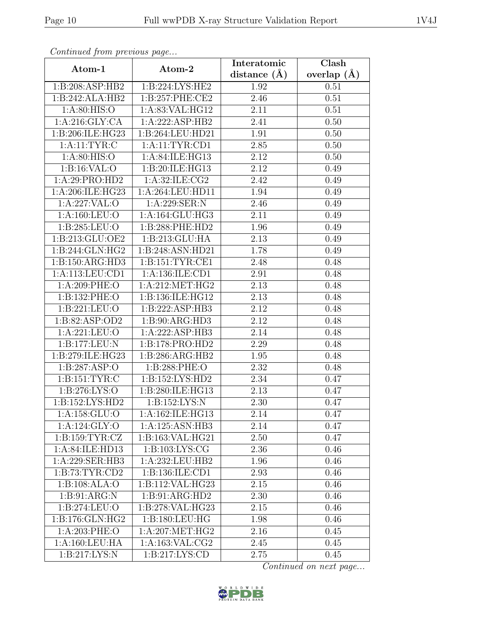| Continued from previous page |                     | Interatomic       | $\overline{\text{Clash}}$ |  |
|------------------------------|---------------------|-------------------|---------------------------|--|
| Atom-1                       | Atom-2              | distance $(A)$    | overlap $(A)$             |  |
| 1:B:208:ASP:HB2              | 1:B:224:LYS:HE2     | 1.92              | 0.51                      |  |
| 1:B:242:ALA:HB2              | 1:B:257:PHE:CE2     | 2.46              | 0.51                      |  |
| 1: A:80: HIS:O               | 1: A:83: VAL: HG12  | 2.11              | 0.51                      |  |
| 1:A:216:GLY:CA               | 1:A:222:ASP:HB2     | 2.41              | 0.50                      |  |
| 1:B:206:ILE:HG23             | 1:B:264:LEU:HD21    | 1.91              | 0.50                      |  |
| 1: A:11: TYR: C              | 1: A:11: TYR: CD1   | 2.85              | 0.50                      |  |
| 1: A:80: HIS:O               | 1:A:84:ILE:HG13     | $\overline{2}.12$ | 0.50                      |  |
| 1: B:16: VAL:O               | 1:B:20:ILE:HG13     | 2.12              | 0.49                      |  |
| 1:A:29:PRO:HD2               | 1: A:32: ILE: CG2   | 2.42              | 0.49                      |  |
| 1:A:206:ILE:HG23             | 1:A:264:LEU:HD11    | 1.94              | 0.49                      |  |
| 1:A:227:VAL:O                | 1:A:229:SER:N       | 2.46              | 0.49                      |  |
| 1:A:160:LEU:O                | 1: A:164: GLU: HG3  | 2.11              | 0.49                      |  |
| 1:B:285:LEU:O                | 1:B:288:PHE:HD2     | 1.96              | 0.49                      |  |
| 1:B:213:GLU:OE2              | 1:B:213:GLU:HA      | 2.13              | 0.49                      |  |
| 1:B:244:GLN:HG2              | 1:B:248:ASN:HD21    | 1.78              | 0.49                      |  |
| 1:B:150:ARG:HD3              | 1: B: 151: TYR: CE1 | 2.48              | 0.48                      |  |
| 1:A:113:LEU:CD1              | 1:A:136:ILE:CD1     | 2.91              | 0.48                      |  |
| 1:A:209:PHE:O                | 1: A:212: MET:HG2   | 2.13              | 0.48                      |  |
| 1:B:132:PHE:O                | 1:B:136:ILE:HG12    | 2.13              | 0.48                      |  |
| 1:B:221:LEU:O                | 1:B:222:ASP:HB3     | 2.12              | 0.48                      |  |
| 1:B:82:ASP:OD2               | 1:B:90:ARG:HD3      | $\overline{2.12}$ | 0.48                      |  |
| 1:A:221:LEU:O                | 1:A:222:ASP:HB3     | 2.14              | 0.48                      |  |
| 1:B:177:LEU:N                | 1:B:178:PRO:HD2     | 2.29              | 0.48                      |  |
| 1:B:279:ILE:HG23             | 1:B:286:ARG:HB2     | 1.95              | 0.48                      |  |
| 1:B:287:ASP:O                | 1:B:288:PHE:O       | 2.32              | 0.48                      |  |
| 1: B: 151: TYR: C            | 1:B:152:LYS:HD2     | 2.34              | 0.47                      |  |
| 1: B:276: LYS:O              | 1:B:280:ILE:HG13    | 2.13              | 0.47                      |  |
| 1: B: 152: LYS: HD2          | 1:B:152:LYS:N       | 2.30              | 0.47                      |  |
| 1: A: 158: GLU:O             | 1:A:162:ILE:HG13    | 2.14              | 0.47                      |  |
| 1:A:124:GLY:O                | 1:A:125:ASN:HB3     | 2.14              | 0.47                      |  |
| 1: B: 159: TYR: CZ           | 1:B:163:VAL:HG21    | 2.50              | 0.47                      |  |
| 1:A:84:ILE:HD13              | 1:B:103:LYS:CG      | 2.36              | 0.46                      |  |
| 1:A:229:SER:HB3              | 1:A:232:LEU:HB2     | 1.96              | 0.46                      |  |
| 1: B: 73: TYR: CD2           | 1:B:136:ILE:CD1     | 2.93              | 0.46                      |  |
| 1:B:108:ALA:O                | 1:B:112:VAL:HG23    | 2.15              | 0.46                      |  |
| 1: B:91: ARG:N               | 1:B:91:ARG:HD2      | 2.30              | 0.46                      |  |
| 1: B: 274: LEU: O            | 1:B:278:VAL:HG23    | 2.15              | 0.46                      |  |
| 1:B:176:GLN:HG2              | 1:B:180:LEU:HG      | 1.98              | 0.46                      |  |
| 1: A:203: PHE:O              | 1: A:207: MET:HG2   | 2.16              | 0.45                      |  |
| 1:A:160:LEU:HA               | 1:A:163:VAL:CG2     | 2.45              | 0.45                      |  |
| 1:B:217:LYS:N                | 1: B: 217: LYS: CD  | 2.75              | 0.45                      |  |

Continued from previous page.

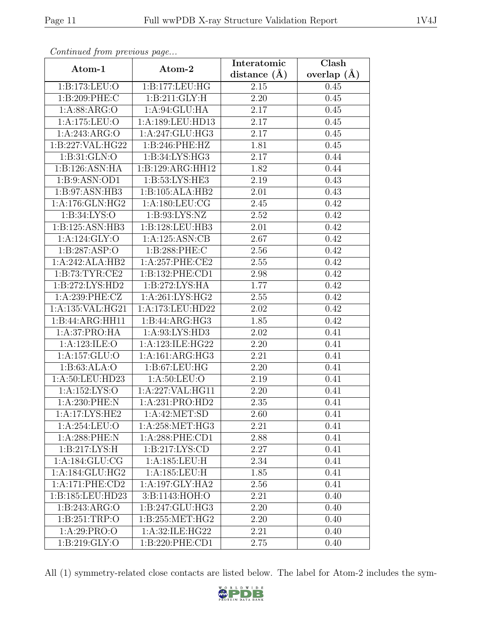| Continua from previous page |                    | Interatomic       | $\overline{\text{Clash}}$ |
|-----------------------------|--------------------|-------------------|---------------------------|
| Atom-1                      | Atom-2             | distance $(A)$    | overlap $(A)$             |
| 1:B:173:LEU:O               | 1:B:177:LEU:HG     | 2.15              | 0.45                      |
| 1:B:209:PHE:C               | 1:B:211:GLY:H      | $\overline{2.20}$ | 0.45                      |
| 1: A:88: ARG:O              | 1: A:94: GLU: HA   | 2.17              | 0.45                      |
| 1:A:175:LEU:O               | 1:A:189:LEU:HD13   | 2.17              | 0.45                      |
| 1: A:243: ARG:O             | 1:A:247:GLU:HG3    | 2.17              | 0.45                      |
| 1:B:227:VAL:HG22            | 1:B:246:PHE:HZ     | 1.81              | 0.45                      |
| 1:B:31:GLN:O                | 1:B:34:LYS:HG3     | 2.17              | 0.44                      |
| 1:B:126:ASN:HA              | 1:B:129:ARG:HH12   | 1.82              | 0.44                      |
| 1:B:9:ASN:OD1               | 1:B:53:LYS:HE3     | 2.19              | 0.43                      |
| 1:B:97:ASN:HB3              | 1:B:105:ALA:HB2    | 2.01              | 0.43                      |
| 1:A:176:GLN:HG2             | 1:A:180:LEU:CG     | 2.45              | 0.42                      |
| 1: B:34: LYS:O              | 1: B: 93: LYS: NZ  | 2.52              | 0.42                      |
| 1:B:125:ASN:HB3             | 1:B:128:LEU:HB3    | 2.01              | 0.42                      |
| 1:A:124:GLY:O               | 1:A:125:ASN:CB     | 2.67              | 0.42                      |
| 1:B:287:ASP:O               | 1:B:288:PHE:C      | 2.56              | 0.42                      |
| 1:A:242:ALA:HB2             | 1: A:257:PHE:CE2   | 2.55              | 0.42                      |
| 1:B:73:TYR:CE2              | 1:B:132:PHE:CD1    | 2.98              | 0.42                      |
| 1:B:272:LYS:HD2             | 1:B:272:LYS:HA     | 1.77              | 0.42                      |
| 1:A:239:PHE:CZ              | 1:A:261:LYS:HG2    | 2.55              | 0.42                      |
| 1:A:135:VAL:HG21            | 1:A:173:LEU:HD22   | 2.02              | 0.42                      |
| 1:B:44:ARG:HH11             | 1:B:44:ARG:HG3     | 1.85              | 0.42                      |
| 1:A:37:PRO:HA               | 1: A:93: LYS: HD3  | 2.02              | 0.41                      |
| 1:A:123:ILE:O               | 1:A:123:ILE:HG22   | 2.20              | 0.41                      |
| 1:A:157:GLU:O               | 1:A:161:ARG:HG3    | 2.21              | 0.41                      |
| 1: B: 63: ALA: O            | 1:B:67:LEU:HG      | 2.20              | 0.41                      |
| 1:A:50:LEU:HD23             | 1: A:50: LEU:O     | 2.19              | 0.41                      |
| 1:A:152:LYS:O               | 1:A:227:VAL:HG11   | 2.20              | 0.41                      |
| 1:A:230:PHE:N               | 1:A:231:PRO:HD2    | 2.35              | 0.41                      |
| 1:A:17:LYS:HE2              | 1: A:42: MET:SD    | 2.60              | 0.41                      |
| 1: A:254:LEU:O              | 1:A:258:MET:HG3    | 2.21              | 0.41                      |
| $1:A:288:$ PHE:N            | 1:A:288:PHE:CD1    | 2.88              | 0.41                      |
| 1:B:217:LYS:H               | 1: B: 217: LYS: CD | 2.27              | 0.41                      |
| 1: A:184: GLU:CG            | 1:A:185:LEU:H      | 2.34              | 0.41                      |
| 1:A:184:GLU:HG2             | 1:A:185:LEU:H      | 1.85              | 0.41                      |
| 1:A:171:PHE:CD2             | 1:A:197:GLY:HA2    | 2.56              | 0.41                      |
| 1:B:185:LEU:HD23            | 3: B: 1143: HOH: O | 2.21              | 0.40                      |
| 1:B:243:ARG:O               | 1:B:247:GLU:HG3    | 2.20              | 0.40                      |
| 1:B:251:TRP:O               | 1:B:255:MET:HG2    | 2.20              | 0.40                      |
| 1:A:29:PRO:O                | 1:A:32:ILE:HG22    | 2.21              | 0.40                      |
| 1:B:219:GLY:O               | 1:B:220:PHE:CD1    | 2.75              | 0.40                      |

Continued from previous page.

All (1) symmetry-related close contacts are listed below. The label for Atom-2 includes the sym-

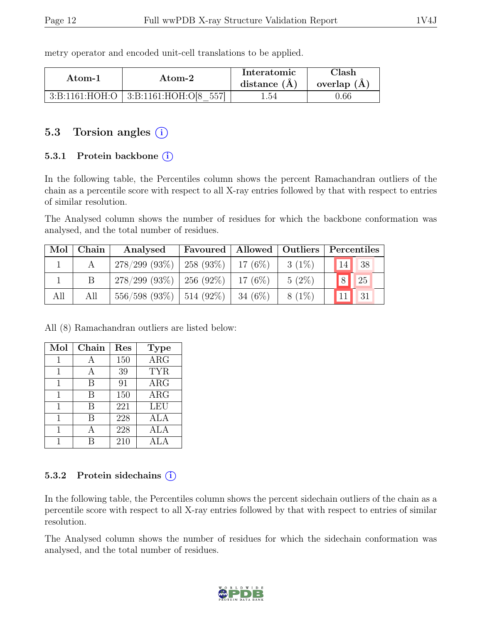metry operator and encoded unit-cell translations to be applied.

| Atom-1             | Atom-2              | Interatomic<br>distance $(A)$ | $\gamma$ lash<br>overlap $(A)$ |
|--------------------|---------------------|-------------------------------|--------------------------------|
| 3: B: 1161: HOH: O | 3: B:1161: HOH:O[8] | l.54                          | 1.66                           |

### 5.3 Torsion angles (i)

### 5.3.1 Protein backbone  $(i)$

In the following table, the Percentiles column shows the percent Ramachandran outliers of the chain as a percentile score with respect to all X-ray entries followed by that with respect to entries of similar resolution.

The Analysed column shows the number of residues for which the backbone conformation was analysed, and the total number of residues.

| Mol | Chain | Analysed                      |            |          | Favoured   Allowed   Outliers   Percentiles |
|-----|-------|-------------------------------|------------|----------|---------------------------------------------|
|     |       | $278/299$ (93\%)   258 (93\%) | $17(6\%)$  | $3(1\%)$ | 38 <br>14                                   |
|     |       | $278/299$ (93\%)   256 (92\%) | $17(6\%)$  | $5(2\%)$ | 8 <br>$\sqrt{25}$                           |
| All | All   | $556/598$ (93\%)   514 (92\%) | 34 $(6\%)$ | $8(1\%)$ | 31                                          |

All (8) Ramachandran outliers are listed below:

| Mol | Chain | Res | <b>Type</b>           |
|-----|-------|-----|-----------------------|
| 1   | A     | 150 | $\rm{ARG}$            |
| 1   | А     | 39  | <b>TYR</b>            |
| 1   | В     | 91  | $\rm{ARG}$            |
| 1   | B     | 150 | $\rm{ARG}$            |
|     | B     | 221 | <b>LEU</b>            |
| 1   | В     | 228 | ALA                   |
| 1   | A     | 228 | ALA                   |
|     |       | 210 | $\Delta$ T , $\Delta$ |

### 5.3.2 Protein sidechains (i)

In the following table, the Percentiles column shows the percent sidechain outliers of the chain as a percentile score with respect to all X-ray entries followed by that with respect to entries of similar resolution.

The Analysed column shows the number of residues for which the sidechain conformation was analysed, and the total number of residues.

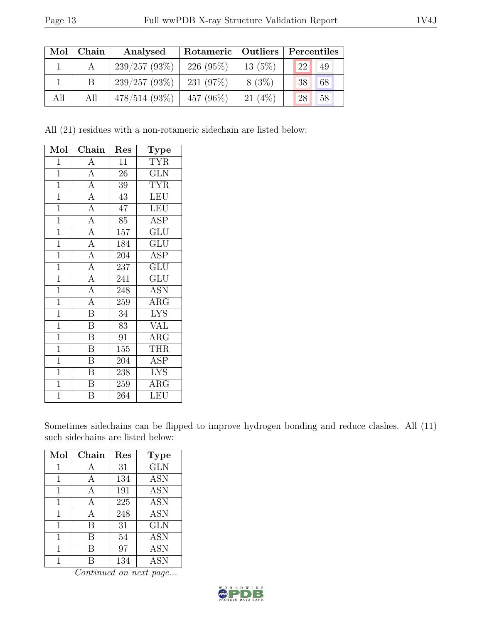| Mol | Chain | Analysed        | Rotameric   Outliers |           | Percentiles |    |
|-----|-------|-----------------|----------------------|-----------|-------------|----|
|     |       | 239/257(93%)    | $226(95\%)$          | $13(5\%)$ | 22          | 49 |
|     |       | 239/257(93%)    | 231 $(97%)$          | $8(3\%)$  | 38          | 68 |
| All | All   | $478/514(93\%)$ | 457 $(96\%)$         | $21(4\%)$ | 28          | 58 |

All (21) residues with a non-rotameric sidechain are listed below:

| Mol            | Chain                   | Res              | Type                      |
|----------------|-------------------------|------------------|---------------------------|
| $\mathbf 1$    | $\overline{A}$          | $\overline{11}$  | <b>TYR</b>                |
| $\overline{1}$ | $\overline{A}$          | 26               | <b>GLN</b>                |
| $\mathbf{1}$   | $\overline{A}$          | 39               | <b>TYR</b>                |
| $\overline{1}$ | $\overline{A}$          | 43               | <b>LEU</b>                |
| $\mathbf 1$    | $\overline{A}$          | 47               | <b>LEU</b>                |
| $\overline{1}$ | $\overline{A}$          | 85               | <b>ASP</b>                |
| $\overline{1}$ | $\overline{A}$          | 157              | <b>GLU</b>                |
| $\overline{1}$ | $\overline{A}$          | 184              | GLU                       |
| $\overline{1}$ | $\overline{A}$          | 204              | ASP                       |
| $\overline{1}$ | $\overline{A}$          | $\overline{237}$ | $\overline{\mathrm{GLU}}$ |
| $\overline{1}$ | $\overline{A}$          | 241              | GLU                       |
| $\mathbf{1}$   | $\overline{A}$          | 248              | ASN                       |
| $\overline{1}$ | $\overline{A}$          | 259              | $\overline{\rm{ARG}}$     |
| $\overline{1}$ | $\overline{\mathbf{B}}$ | $34\,$           | <b>LYS</b>                |
| $\overline{1}$ | $\overline{\mathrm{B}}$ | 83               | <b>VAL</b>                |
| $\overline{1}$ | $\overline{\mathrm{B}}$ | 91               | ARG                       |
| $\mathbf{1}$   | $\overline{\mathrm{B}}$ | 155              | <b>THR</b>                |
| $\overline{1}$ | $\overline{\mathbf{B}}$ | 204              | ASP                       |
| $\mathbf{1}$   | $\boldsymbol{B}$        | 238              | <b>LYS</b>                |
| $\overline{1}$ | $\overline{\mathrm{B}}$ | 259              | $\rm{ARG}$                |
| $\overline{1}$ | B                       | 264              | <b>LEU</b>                |

Sometimes sidechains can be flipped to improve hydrogen bonding and reduce clashes. All (11) such sidechains are listed below:

| Mol | Chain | Res | <b>Type</b> |
|-----|-------|-----|-------------|
| 1   | А     | 31  | <b>GLN</b>  |
| 1   | А     | 134 | <b>ASN</b>  |
| 1   | А     | 191 | <b>ASN</b>  |
| 1   | А     | 225 | <b>ASN</b>  |
| 1   | A     | 248 | <b>ASN</b>  |
| 1   | В     | 31  | <b>GLN</b>  |
| 1   | В     | 54  | <b>ASN</b>  |
| 1   | R     | 97  | <b>ASN</b>  |
|     |       | 134 | <b>ASN</b>  |

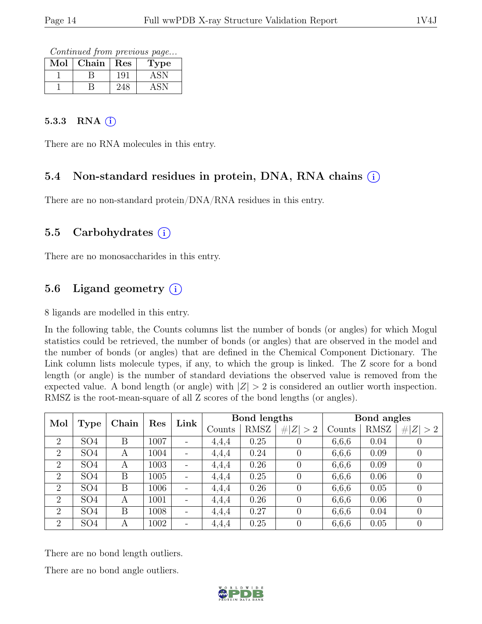Continued from previous page...

| Mol | Chain | Res | Type |
|-----|-------|-----|------|
|     |       | 191 | Αč   |
|     |       |     |      |

### 5.3.3 RNA  $(i)$

There are no RNA molecules in this entry.

### 5.4 Non-standard residues in protein, DNA, RNA chains (i)

There are no non-standard protein/DNA/RNA residues in this entry.

### 5.5 Carbohydrates  $(i)$

There are no monosaccharides in this entry.

### 5.6 Ligand geometry  $(i)$

8 ligands are modelled in this entry.

In the following table, the Counts columns list the number of bonds (or angles) for which Mogul statistics could be retrieved, the number of bonds (or angles) that are observed in the model and the number of bonds (or angles) that are defined in the Chemical Component Dictionary. The Link column lists molecule types, if any, to which the group is linked. The Z score for a bond length (or angle) is the number of standard deviations the observed value is removed from the expected value. A bond length (or angle) with  $|Z| > 2$  is considered an outlier worth inspection. RMSZ is the root-mean-square of all Z scores of the bond lengths (or angles).

| Mol            |                 |              | Res  | Link | Bond lengths |      |                  | Bond angles |             |             |
|----------------|-----------------|--------------|------|------|--------------|------|------------------|-------------|-------------|-------------|
|                | <b>Type</b>     | Chain        |      |      | Counts       | RMSZ | # $ Z  > 2$      | Counts      | <b>RMSZ</b> | # $ Z  > 2$ |
| $\overline{2}$ | SO <sub>4</sub> | B            | 1007 |      | 4,4,4        | 0.25 |                  | 6,6,6       | 0.04        |             |
| $\overline{2}$ | SO <sub>4</sub> | А            | 1004 |      | 4,4,4        | 0.24 |                  | 6,6,6       | 0.09        |             |
| $\overline{2}$ | SO <sub>4</sub> | $\mathbf{A}$ | 1003 |      | 4,4,4        | 0.26 | $\theta$         | 6,6,6       | 0.09        |             |
| $\overline{2}$ | SO <sub>4</sub> | Β            | 1005 |      | 4,4,4        | 0.25 |                  | 6,6,6       | 0.06        |             |
| $\overline{2}$ | SO <sub>4</sub> | Β            | 1006 |      | 4,4,4        | 0.26 | $\theta$         | 6,6,6       | 0.05        |             |
| $\overline{2}$ | SO <sub>4</sub> | A            | 1001 |      | 4,4,4        | 0.26 | $\Omega$         | 6,6,6       | 0.06        |             |
| $\overline{2}$ | SO <sub>4</sub> | Β            | 1008 |      | 4,4,4        | 0.27 | $\left( \right)$ | 6,6,6       | 0.04        |             |
| $\overline{2}$ | SO <sub>4</sub> | A            | 1002 |      | 4,4,4        | 0.25 | $\theta$         | 6,6,6       | 0.05        |             |

There are no bond length outliers.

There are no bond angle outliers.

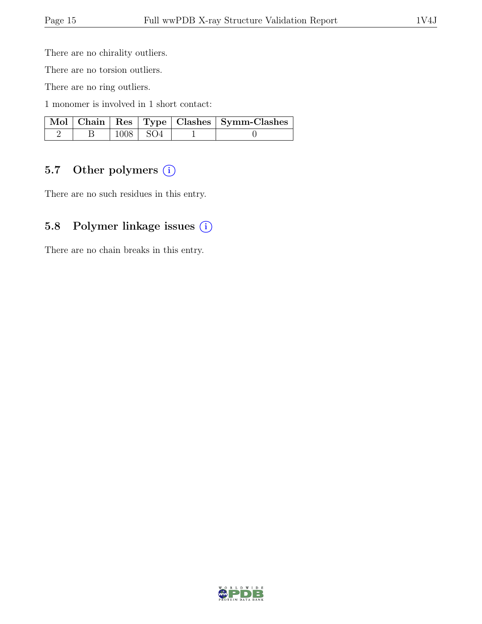There are no chirality outliers.

There are no torsion outliers.

There are no ring outliers.

1 monomer is involved in 1 short contact:

|  |                          | Mol   Chain   Res   Type   Clashes   Symm-Clashes |
|--|--------------------------|---------------------------------------------------|
|  | $\vert$ 1008 $\vert$ SO4 |                                                   |

### 5.7 Other polymers (i)

There are no such residues in this entry.

### 5.8 Polymer linkage issues (i)

There are no chain breaks in this entry.

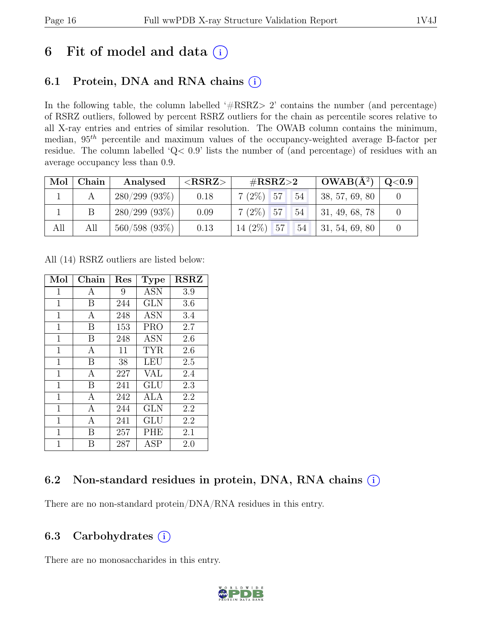## 6 Fit of model and data  $(i)$

## 6.1 Protein, DNA and RNA chains  $(i)$

In the following table, the column labelled ' $\#\text{RSRZ}>2$ ' contains the number (and percentage) of RSRZ outliers, followed by percent RSRZ outliers for the chain as percentile scores relative to all X-ray entries and entries of similar resolution. The OWAB column contains the minimum, median,  $95<sup>th</sup>$  percentile and maximum values of the occupancy-weighted average B-factor per residue. The column labelled 'Q< 0.9' lists the number of (and percentage) of residues with an average occupancy less than 0.9.

| Mol | $\mid$ Chain | Analysed         | $<$ RSRZ $>$ | # $RSRZ>2$        | $\sqrt{\text{OWAB(A}^2)}$ $\sqrt{\text{Q}}$ <0.9 |  |
|-----|--------------|------------------|--------------|-------------------|--------------------------------------------------|--|
|     |              | 280/299(93%)     | 0.18         | $7(2\%)$ 57<br>54 | $\vert 38, 57, 69, 80 \vert$                     |  |
|     |              | 280/299(93%)     | 0.09         | $7(2\%)$ 57<br>54 | $\vert$ 31, 49, 68, 78                           |  |
| All | All          | $560/598$ (93\%) | 0.13         | $14(2\%)$ 57      | $54$   31, 54, 69, 80                            |  |

All (14) RSRZ outliers are listed below:

| Mol          | Chain        | $\operatorname{Res}$ | <b>Type</b> | <b>RSRZ</b> |
|--------------|--------------|----------------------|-------------|-------------|
| $\mathbf{1}$ | А            | 9                    | <b>ASN</b>  | 3.9         |
| 1            | B            | 244                  | <b>GLN</b>  | 3.6         |
| 1            | А            | 248                  | ASN         | 3.4         |
| 1            | B            | 153                  | <b>PRO</b>  | 2.7         |
| 1            | B            | 248                  | <b>ASN</b>  | 2.6         |
| $\mathbf 1$  | A            | 11                   | <b>TYR</b>  | 2.6         |
| 1            | B            | 38                   | LEU         | 2.5         |
| $\mathbf 1$  | $\mathbf{A}$ | 227                  | <b>VAL</b>  | 2.4         |
| $\mathbf 1$  | B            | 241                  | GLU         | 2.3         |
| $\mathbf 1$  | A            | 242                  | ALA         | 2.2         |
| 1            | А            | 244                  | <b>GLN</b>  | 2.2         |
| 1            | A            | 241                  | GLU         | 2.2         |
| $\mathbf 1$  | В            | 257                  | PHE         | 2.1         |
| 1            | В            | 287                  | <b>ASP</b>  | 2.0         |

## 6.2 Non-standard residues in protein, DNA, RNA chains (i)

There are no non-standard protein/DNA/RNA residues in this entry.

## 6.3 Carbohydrates  $(i)$

There are no monosaccharides in this entry.